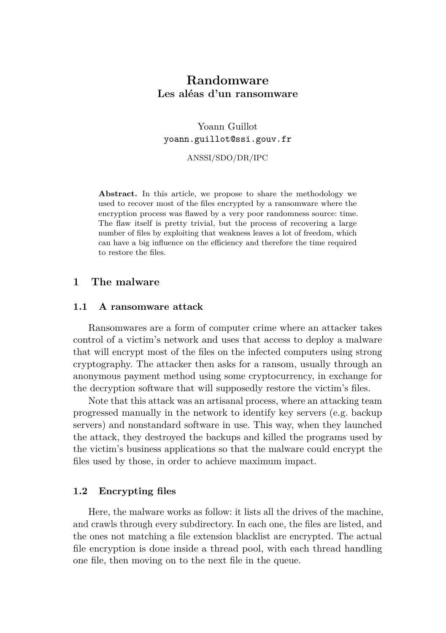# **Randomware Les aléas d'un ransomware**

Yoann Guillot yoann.guillot@ssi.gouv.fr

ANSSI/SDO/DR/IPC

Abstract. In this article, we propose to share the methodology we used to recover most of the files encrypted by a ransomware where the encryption process was flawed by a very poor randomness source: time. The flaw itself is pretty trivial, but the process of recovering a large number of files by exploiting that weakness leaves a lot of freedom, which can have a big influence on the efficiency and therefore the time required to restore the files.

## **1 The malware**

### **1.1 A ransomware attack**

Ransomwares are a form of computer crime where an attacker takes control of a victim's network and uses that access to deploy a malware that will encrypt most of the files on the infected computers using strong cryptography. The attacker then asks for a ransom, usually through an anonymous payment method using some cryptocurrency, in exchange for the decryption software that will supposedly restore the victim's files.

Note that this attack was an artisanal process, where an attacking team progressed manually in the network to identify key servers (e.g. backup servers) and nonstandard software in use. This way, when they launched the attack, they destroyed the backups and killed the programs used by the victim's business applications so that the malware could encrypt the files used by those, in order to achieve maximum impact.

#### **1.2 Encrypting files**

Here, the malware works as follow: it lists all the drives of the machine, and crawls through every subdirectory. In each one, the files are listed, and the ones not matching a file extension blacklist are encrypted. The actual file encryption is done inside a thread pool, with each thread handling one file, then moving on to the next file in the queue.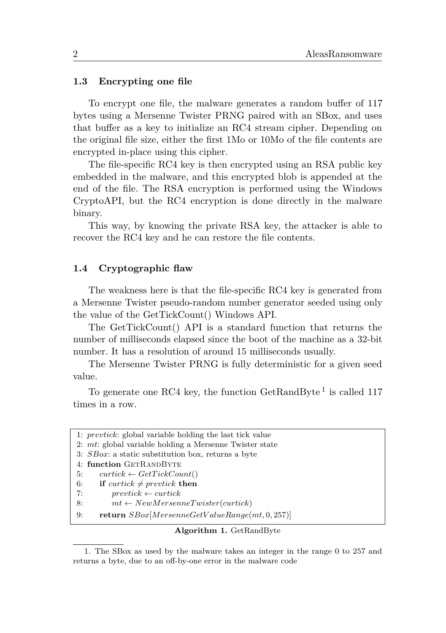#### **1.3 Encrypting one file**

To encrypt one file, the malware generates a random buffer of 117 bytes using a Mersenne Twister PRNG paired with an SBox, and uses that buffer as a key to initialize an RC4 stream cipher. Depending on the original file size, either the first 1Mo or 10Mo of the file contents are encrypted in-place using this cipher.

The file-specific RC4 key is then encrypted using an RSA public key embedded in the malware, and this encrypted blob is appended at the end of the file. The RSA encryption is performed using the Windows CryptoAPI, but the RC4 encryption is done directly in the malware binary.

This way, by knowing the private RSA key, the attacker is able to recover the RC4 key and he can restore the file contents.

#### **1.4 Cryptographic flaw**

The weakness here is that the file-specific RC4 key is generated from a Mersenne Twister pseudo-random number generator seeded using only the value of the GetTickCount() Windows API.

The GetTickCount() API is a standard function that returns the number of milliseconds elapsed since the boot of the machine as a 32-bit number. It has a resolution of around 15 milliseconds usually.

The Mersenne Twister PRNG is fully deterministic for a given seed value.

To generate one RC4 key, the function  $\text{GetRandByte}^1$  is called 117 times in a row.

|    | 1: prevtick: global variable holding the last tick value   |
|----|------------------------------------------------------------|
|    | 2: mt: global variable holding a Mersenne Twister state    |
|    | 3: <i>SBox</i> : a static substitution box, returns a byte |
|    | 4: function GETRANDBYTE                                    |
| 5: | $curtick \leftarrow GetTickCount()$                        |
| 6: | if curtick $\neq$ prevtick then                            |
| 7: | $prevtick \leftarrow curtick$                              |
| 8: | $mt \leftarrow NewMersenneTwister(curtick)$                |
| 9: | return $SBox[MersenneGetValueRange(mt, 0, 257)]$           |
|    |                                                            |

## **Algorithm 1.** GetRandByte

<sup>1.</sup> The SBox as used by the malware takes an integer in the range 0 to 257 and returns a byte, due to an off-by-one error in the malware code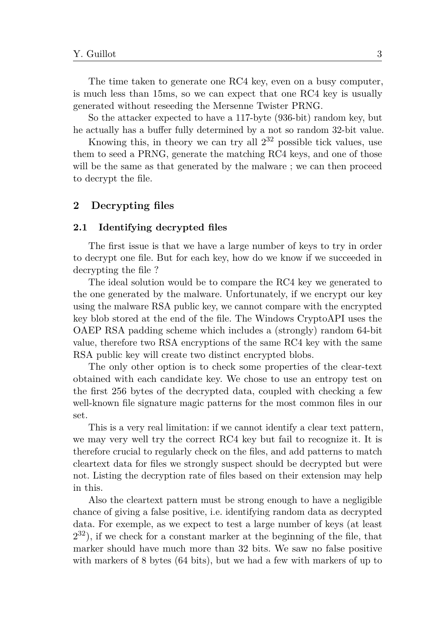The time taken to generate one RC4 key, even on a busy computer, is much less than 15ms, so we can expect that one RC4 key is usually generated without reseeding the Mersenne Twister PRNG.

So the attacker expected to have a 117-byte (936-bit) random key, but he actually has a buffer fully determined by a not so random 32-bit value.

Knowing this, in theory we can try all  $2^{32}$  possible tick values, use them to seed a PRNG, generate the matching RC4 keys, and one of those will be the same as that generated by the malware; we can then proceed to decrypt the file.

## **2 Decrypting files**

#### **2.1 Identifying decrypted files**

The first issue is that we have a large number of keys to try in order to decrypt one file. But for each key, how do we know if we succeeded in decrypting the file ?

The ideal solution would be to compare the RC4 key we generated to the one generated by the malware. Unfortunately, if we encrypt our key using the malware RSA public key, we cannot compare with the encrypted key blob stored at the end of the file. The Windows CryptoAPI uses the OAEP RSA padding scheme which includes a (strongly) random 64-bit value, therefore two RSA encryptions of the same RC4 key with the same RSA public key will create two distinct encrypted blobs.

The only other option is to check some properties of the clear-text obtained with each candidate key. We chose to use an entropy test on the first 256 bytes of the decrypted data, coupled with checking a few well-known file signature magic patterns for the most common files in our set.

This is a very real limitation: if we cannot identify a clear text pattern, we may very well try the correct RC4 key but fail to recognize it. It is therefore crucial to regularly check on the files, and add patterns to match cleartext data for files we strongly suspect should be decrypted but were not. Listing the decryption rate of files based on their extension may help in this.

Also the cleartext pattern must be strong enough to have a negligible chance of giving a false positive, i.e. identifying random data as decrypted data. For exemple, as we expect to test a large number of keys (at least 2 <sup>32</sup>), if we check for a constant marker at the beginning of the file, that marker should have much more than 32 bits. We saw no false positive with markers of 8 bytes (64 bits), but we had a few with markers of up to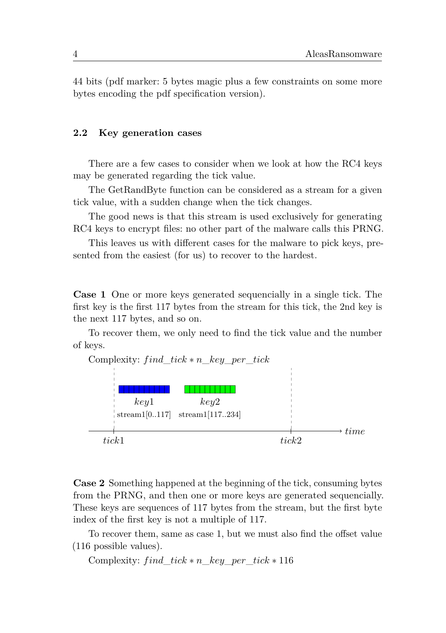44 bits (pdf marker: 5 bytes magic plus a few constraints on some more bytes encoding the pdf specification version).

### **2.2 Key generation cases**

There are a few cases to consider when we look at how the RC4 keys may be generated regarding the tick value.

The GetRandByte function can be considered as a stream for a given tick value, with a sudden change when the tick changes.

The good news is that this stream is used exclusively for generating RC4 keys to encrypt files: no other part of the malware calls this PRNG.

This leaves us with different cases for the malware to pick keys, presented from the easiest (for us) to recover to the hardest.

**Case 1** One or more keys generated sequencially in a single tick. The first key is the first 117 bytes from the stream for this tick, the 2nd key is the next 117 bytes, and so on.

To recover them, we only need to find the tick value and the number of keys.



**Case 2** Something happened at the beginning of the tick, consuming bytes from the PRNG, and then one or more keys are generated sequencially. These keys are sequences of 117 bytes from the stream, but the first byte index of the first key is not a multiple of 117.

To recover them, same as case 1, but we must also find the offset value (116 possible values).

Complexity: *find*  $tick * n$  *key per*  $tick * 116$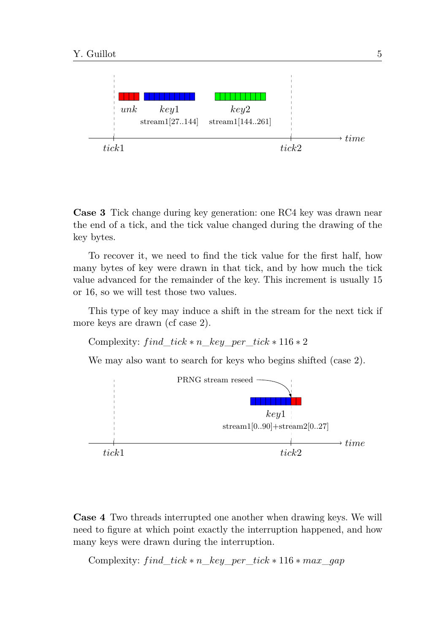

**Case 3** Tick change during key generation: one RC4 key was drawn near the end of a tick, and the tick value changed during the drawing of the key bytes.

To recover it, we need to find the tick value for the first half, how many bytes of key were drawn in that tick, and by how much the tick value advanced for the remainder of the key. This increment is usually 15 or 16, so we will test those two values.

This type of key may induce a shift in the stream for the next tick if more keys are drawn (cf case 2).

```
Complexity: find\_tick * n\_key\_per\_tick * 116 * 2
```
We may also want to search for keys who begins shifted (case 2).



**Case 4** Two threads interrupted one another when drawing keys. We will need to figure at which point exactly the interruption happened, and how many keys were drawn during the interruption.

Complexity: *find tick*  $* n$  *key per tick*  $* 116 * max$  *gap*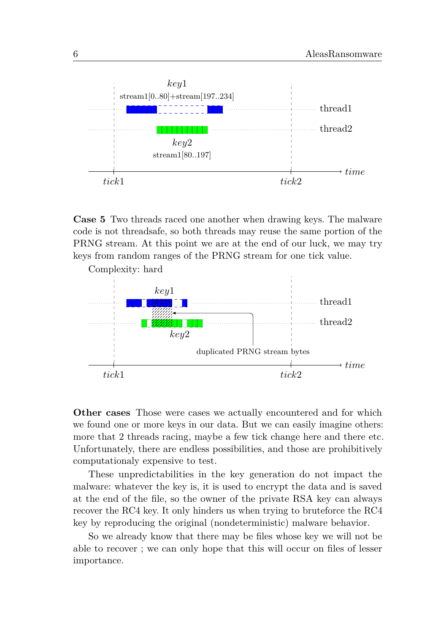

**Case 5** Two threads raced one another when drawing keys. The malware code is not threadsafe, so both threads may reuse the same portion of the PRNG stream. At this point we are at the end of our luck, we may try keys from random ranges of the PRNG stream for one tick value.

Complexity: hard *key*1 thread1 thread2 *key*2 duplicated PRNG stream bytes  $\rightarrow time$ *tick*1 *tick*2

**Other cases** Those were cases we actually encountered and for which we found one or more keys in our data. But we can easily imagine others: more that 2 threads racing, maybe a few tick change here and there etc. Unfortunately, there are endless possibilities, and those are prohibitively computationaly expensive to test.

These unpredictabilities in the key generation do not impact the malware: whatever the key is, it is used to encrypt the data and is saved at the end of the file, so the owner of the private RSA key can always recover the RC4 key. It only hinders us when trying to bruteforce the RC4 key by reproducing the original (nondeterministic) malware behavior.

So we already know that there may be files whose key we will not be able to recover ; we can only hope that this will occur on files of lesser importance.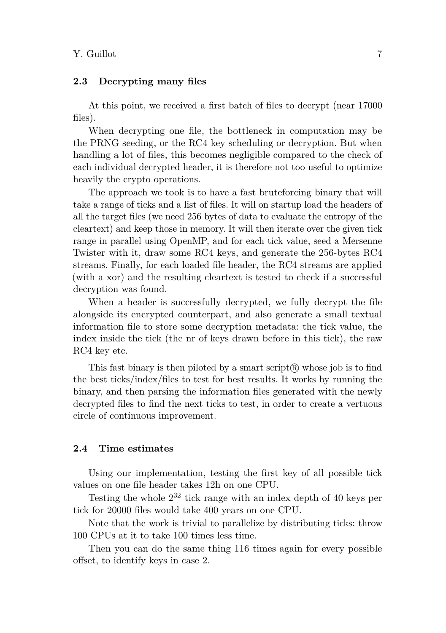#### **2.3 Decrypting many files**

At this point, we received a first batch of files to decrypt (near 17000 files).

When decrypting one file, the bottleneck in computation may be the PRNG seeding, or the RC4 key scheduling or decryption. But when handling a lot of files, this becomes negligible compared to the check of each individual decrypted header, it is therefore not too useful to optimize heavily the crypto operations.

The approach we took is to have a fast bruteforcing binary that will take a range of ticks and a list of files. It will on startup load the headers of all the target files (we need 256 bytes of data to evaluate the entropy of the cleartext) and keep those in memory. It will then iterate over the given tick range in parallel using OpenMP, and for each tick value, seed a Mersenne Twister with it, draw some RC4 keys, and generate the 256-bytes RC4 streams. Finally, for each loaded file header, the RC4 streams are applied (with a xor) and the resulting cleartext is tested to check if a successful decryption was found.

When a header is successfully decrypted, we fully decrypt the file alongside its encrypted counterpart, and also generate a small textual information file to store some decryption metadata: the tick value, the index inside the tick (the nr of keys drawn before in this tick), the raw RC4 key etc.

This fast binary is then piloted by a smart script $(\mathbb{R})$  whose job is to find the best ticks/index/files to test for best results. It works by running the binary, and then parsing the information files generated with the newly decrypted files to find the next ticks to test, in order to create a vertuous circle of continuous improvement.

## **2.4 Time estimates**

Using our implementation, testing the first key of all possible tick values on one file header takes 12h on one CPU.

Testing the whole  $2^{32}$  tick range with an index depth of 40 keys per tick for 20000 files would take 400 years on one CPU.

Note that the work is trivial to parallelize by distributing ticks: throw 100 CPUs at it to take 100 times less time.

Then you can do the same thing 116 times again for every possible offset, to identify keys in case 2.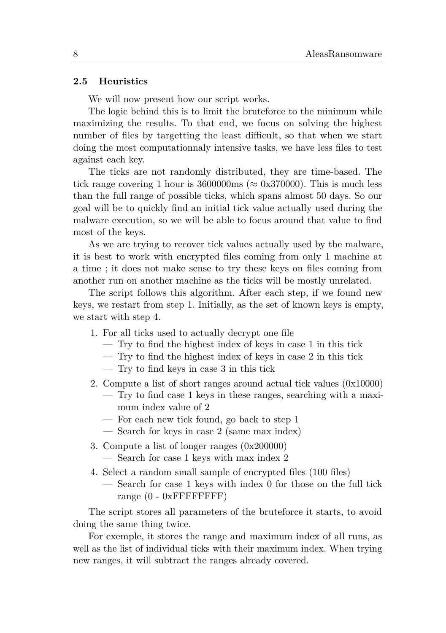#### **2.5 Heuristics**

We will now present how our script works.

The logic behind this is to limit the bruteforce to the minimum while maximizing the results. To that end, we focus on solving the highest number of files by targetting the least difficult, so that when we start doing the most computationnaly intensive tasks, we have less files to test against each key.

The ticks are not randomly distributed, they are time-based. The tick range covering 1 hour is 3600000ms ( $\approx 0x370000$ ). This is much less than the full range of possible ticks, which spans almost 50 days. So our goal will be to quickly find an initial tick value actually used during the malware execution, so we will be able to focus around that value to find most of the keys.

As we are trying to recover tick values actually used by the malware, it is best to work with encrypted files coming from only 1 machine at a time ; it does not make sense to try these keys on files coming from another run on another machine as the ticks will be mostly unrelated.

The script follows this algorithm. After each step, if we found new keys, we restart from step 1. Initially, as the set of known keys is empty, we start with step 4.

- 1. For all ticks used to actually decrypt one file
	- Try to find the highest index of keys in case 1 in this tick
	- Try to find the highest index of keys in case 2 in this tick
	- Try to find keys in case 3 in this tick
- 2. Compute a list of short ranges around actual tick values  $(0x10000)$ 
	- Try to find case 1 keys in these ranges, searching with a maximum index value of 2
	- For each new tick found, go back to step 1
	- Search for keys in case 2 (same max index)
- 3. Compute a list of longer ranges (0x200000) — Search for case 1 keys with max index 2
- 4. Select a random small sample of encrypted files (100 files)
	- Search for case 1 keys with index 0 for those on the full tick range (0 - 0xFFFFFFFF)

The script stores all parameters of the bruteforce it starts, to avoid doing the same thing twice.

For exemple, it stores the range and maximum index of all runs, as well as the list of individual ticks with their maximum index. When trying new ranges, it will subtract the ranges already covered.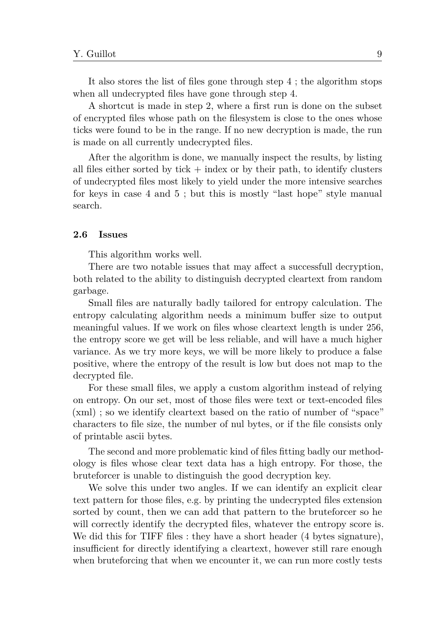It also stores the list of files gone through step 4 ; the algorithm stops when all undecrypted files have gone through step 4.

A shortcut is made in step 2, where a first run is done on the subset of encrypted files whose path on the filesystem is close to the ones whose ticks were found to be in the range. If no new decryption is made, the run is made on all currently undecrypted files.

After the algorithm is done, we manually inspect the results, by listing all files either sorted by tick  $+$  index or by their path, to identify clusters of undecrypted files most likely to yield under the more intensive searches for keys in case 4 and 5 ; but this is mostly "last hope" style manual search.

### **2.6 Issues**

This algorithm works well.

There are two notable issues that may affect a successfull decryption, both related to the ability to distinguish decrypted cleartext from random garbage.

Small files are naturally badly tailored for entropy calculation. The entropy calculating algorithm needs a minimum buffer size to output meaningful values. If we work on files whose cleartext length is under 256, the entropy score we get will be less reliable, and will have a much higher variance. As we try more keys, we will be more likely to produce a false positive, where the entropy of the result is low but does not map to the decrypted file.

For these small files, we apply a custom algorithm instead of relying on entropy. On our set, most of those files were text or text-encoded files (xml) ; so we identify cleartext based on the ratio of number of "space" characters to file size, the number of nul bytes, or if the file consists only of printable ascii bytes.

The second and more problematic kind of files fitting badly our methodology is files whose clear text data has a high entropy. For those, the bruteforcer is unable to distinguish the good decryption key.

We solve this under two angles. If we can identify an explicit clear text pattern for those files, e.g. by printing the undecrypted files extension sorted by count, then we can add that pattern to the bruteforcer so he will correctly identify the decrypted files, whatever the entropy score is. We did this for TIFF files : they have a short header (4 bytes signature), insufficient for directly identifying a cleartext, however still rare enough when bruteforcing that when we encounter it, we can run more costly tests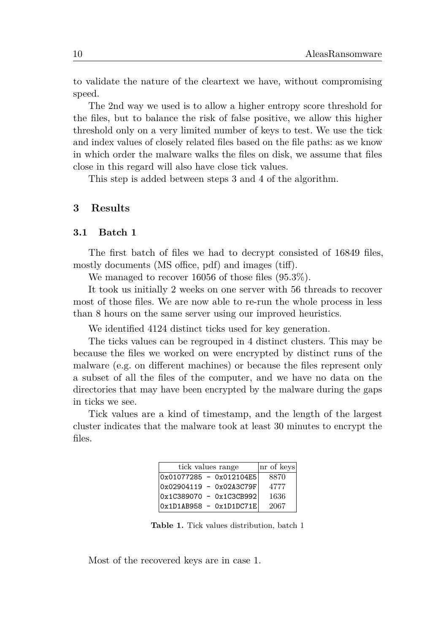to validate the nature of the cleartext we have, without compromising speed.

The 2nd way we used is to allow a higher entropy score threshold for the files, but to balance the risk of false positive, we allow this higher threshold only on a very limited number of keys to test. We use the tick and index values of closely related files based on the file paths: as we know in which order the malware walks the files on disk, we assume that files close in this regard will also have close tick values.

This step is added between steps 3 and 4 of the algorithm.

# **3 Results**

#### **3.1 Batch 1**

The first batch of files we had to decrypt consisted of 16849 files, mostly documents (MS office, pdf) and images (tiff).

We managed to recover 16056 of those files (95.3%).

It took us initially 2 weeks on one server with 56 threads to recover most of those files. We are now able to re-run the whole process in less than 8 hours on the same server using our improved heuristics.

We identified 4124 distinct ticks used for key generation.

The ticks values can be regrouped in 4 distinct clusters. This may be because the files we worked on were encrypted by distinct runs of the malware (e.g. on different machines) or because the files represent only a subset of all the files of the computer, and we have no data on the directories that may have been encrypted by the malware during the gaps in ticks we see.

Tick values are a kind of timestamp, and the length of the largest cluster indicates that the malware took at least 30 minutes to encrypt the files.

| tick values range           | nr of keys |
|-----------------------------|------------|
| $0x01077285 - 0x012104E5$   | 8870       |
| $0x02904119 - 0x02A3C79F$   | 4777       |
| $ 0x1C389070 - 0x1C3CB992 $ | 1636       |
| $Ox1D1AB958 - Ox1D1DC71E$   | 2067       |

**Table 1.** Tick values distribution, batch 1

Most of the recovered keys are in case 1.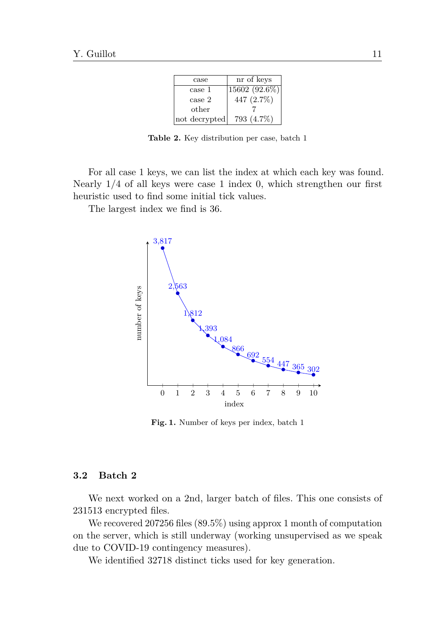| case          | nr of keys    |
|---------------|---------------|
| case 1        | 15602 (92.6%) |
| case 2        | 447 (2.7%)    |
| other         |               |
| not decrypted | 793 (4.7%)    |

**Table 2.** Key distribution per case, batch 1

For all case 1 keys, we can list the index at which each key was found. Nearly 1/4 of all keys were case 1 index 0, which strengthen our first heuristic used to find some initial tick values.

The largest index we find is 36.



**Fig. 1.** Number of keys per index, batch 1

# **3.2 Batch 2**

We next worked on a 2nd, larger batch of files. This one consists of 231513 encrypted files.

We recovered 207256 files (89*.*5%) using approx 1 month of computation on the server, which is still underway (working unsupervised as we speak due to COVID-19 contingency measures).

We identified 32718 distinct ticks used for key generation.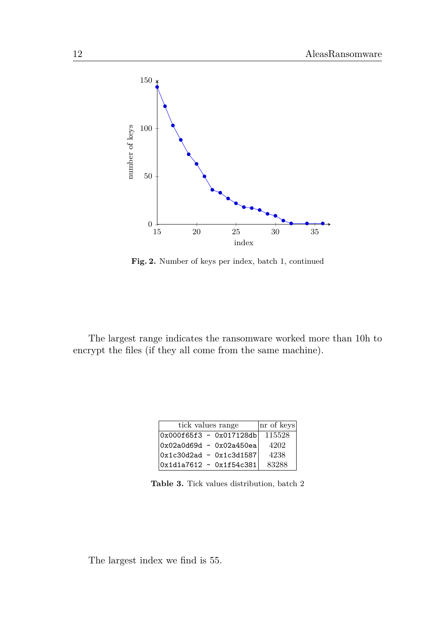

**Fig. 2.** Number of keys per index, batch 1, continued

The largest range indicates the ransomware worked more than 10h to encrypt the files (if they all come from the same machine).

| tick values range           | nr of keys |
|-----------------------------|------------|
| Ox000f65f3 - Ox017128db     | 115528     |
| Ox02a0d69d - 0x02a450ea     | 4202       |
| $ 0x1c30d2ad - 0x1c3d1587 $ | 4238       |
| $0x1d1a7612 - 0x1f54c381$   | 83288      |

**Table 3.** Tick values distribution, batch 2

The largest index we find is 55.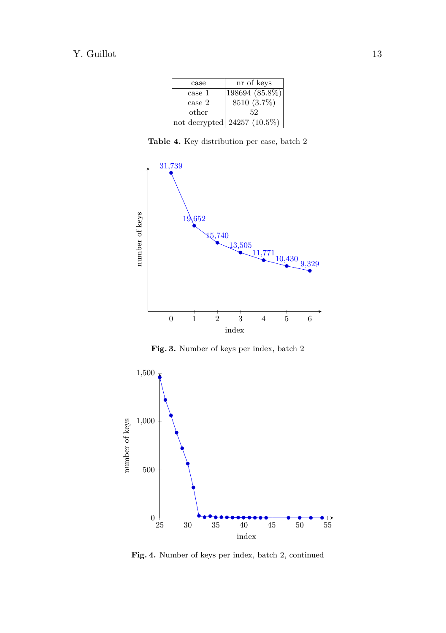| case   | nr of keys                        |
|--------|-----------------------------------|
| case 1 | $\overline{198694} (85.8\%)$      |
| case 2 | 8510 (3.7%)                       |
| other  | 52                                |
|        | $ not$ decrypted $ 24257(10.5\%)$ |

**Table 4.** Key distribution per case, batch 2



**Fig. 3.** Number of keys per index, batch 2



**Fig. 4.** Number of keys per index, batch 2, continued